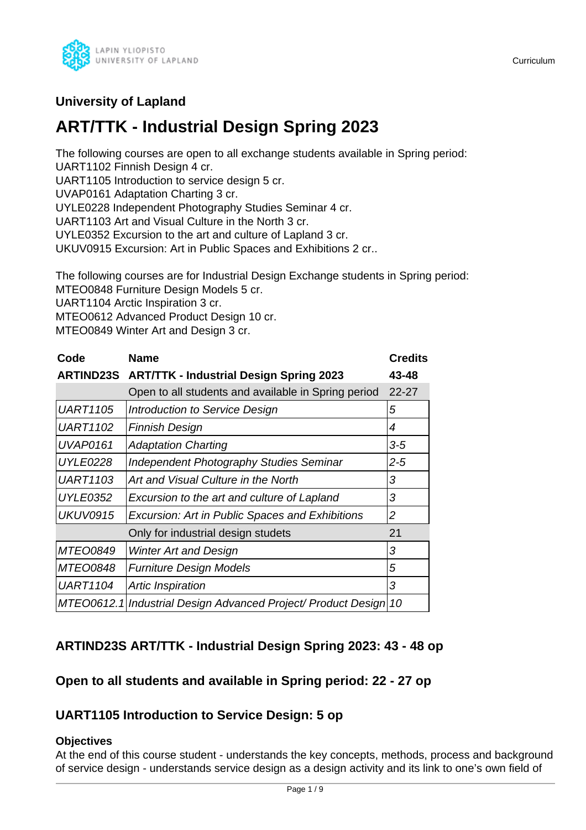

# **University of Lapland**

# **ART/TTK - Industrial Design Spring 2023**

The following courses are open to all exchange students available in Spring period: UART1102 Finnish Design 4 cr.

UART1105 Introduction to service design 5 cr.

UVAP0161 Adaptation Charting 3 cr.

UYLE0228 Independent Photography Studies Seminar 4 cr.

UART1103 Art and Visual Culture in the North 3 cr.

UYLE0352 Excursion to the art and culture of Lapland 3 cr.

UKUV0915 Excursion: Art in Public Spaces and Exhibitions 2 cr..

The following courses are for Industrial Design Exchange students in Spring period: MTEO0848 Furniture Design Models 5 cr.

UART1104 Arctic Inspiration 3 cr.

MTEO0612 Advanced Product Design 10 cr.

MTEO0849 Winter Art and Design 3 cr.

| Code            | <b>Name</b>                                                   | <b>Credits</b> |
|-----------------|---------------------------------------------------------------|----------------|
|                 | <b>ARTIND23S ART/TTK - Industrial Design Spring 2023</b>      | 43-48          |
|                 | Open to all students and available in Spring period           | $22 - 27$      |
| <b>UART1105</b> | Introduction to Service Design                                | 5              |
| <b>UART1102</b> | <b>Finnish Design</b>                                         | 4              |
| <b>UVAP0161</b> | <b>Adaptation Charting</b>                                    | $3 - 5$        |
| <b>UYLE0228</b> | <b>Independent Photography Studies Seminar</b>                | $2 - 5$        |
| <b>UART1103</b> | Art and Visual Culture in the North                           | 3              |
| <b>UYLE0352</b> | Excursion to the art and culture of Lapland                   | 3              |
| <b>UKUV0915</b> | Excursion: Art in Public Spaces and Exhibitions               | $\overline{2}$ |
|                 | Only for industrial design studets                            | 21             |
| MTEO0849        | <b>Winter Art and Design</b>                                  | 3              |
| <b>MTEO0848</b> | <b>Furniture Design Models</b>                                | 5              |
| <b>UART1104</b> | Artic Inspiration                                             | 3              |
|                 | MTEO0612.1 Industrial Design Advanced Project/ Product Design | 10             |

# **ARTIND23S ART/TTK - Industrial Design Spring 2023: 43 - 48 op**

# **Open to all students and available in Spring period: 22 - 27 op**

# **UART1105 Introduction to Service Design: 5 op**

# **Objectives**

At the end of this course student - understands the key concepts, methods, process and background of service design - understands service design as a design activity and its link to one's own field of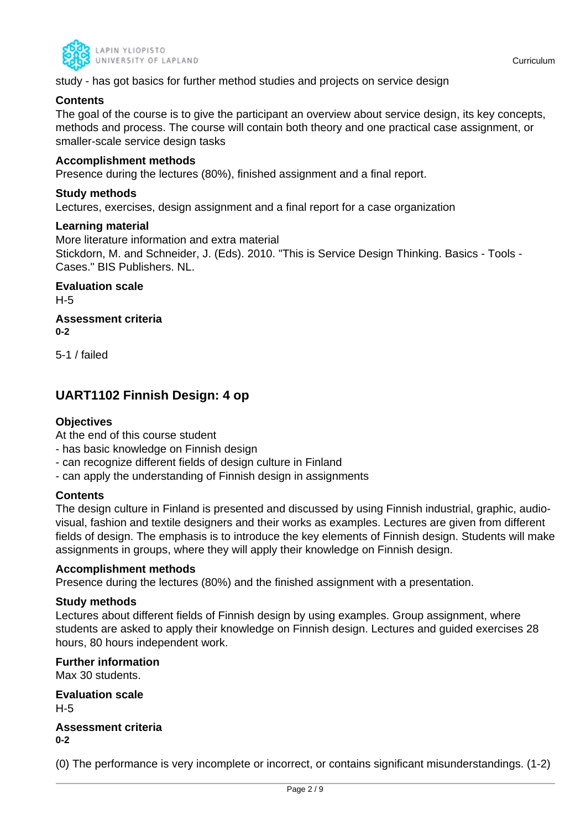

study - has got basics for further method studies and projects on service design

# **Contents**

The goal of the course is to give the participant an overview about service design, its key concepts, methods and process. The course will contain both theory and one practical case assignment, or smaller-scale service design tasks

# **Accomplishment methods**

Presence during the lectures (80%), finished assignment and a final report.

# **Study methods**

Lectures, exercises, design assignment and a final report for a case organization

#### **Learning material**

More literature information and extra material Stickdorn, M. and Schneider, J. (Eds). 2010. "This is Service Design Thinking. Basics - Tools - Cases." BIS Publishers. NL.

**Evaluation scale** H-5

**Assessment criteria 0-2**

5-1 / failed

# **UART1102 Finnish Design: 4 op**

# **Objectives**

At the end of this course student

- has basic knowledge on Finnish design
- can recognize different fields of design culture in Finland
- can apply the understanding of Finnish design in assignments

# **Contents**

The design culture in Finland is presented and discussed by using Finnish industrial, graphic, audiovisual, fashion and textile designers and their works as examples. Lectures are given from different fields of design. The emphasis is to introduce the key elements of Finnish design. Students will make assignments in groups, where they will apply their knowledge on Finnish design.

#### **Accomplishment methods**

Presence during the lectures (80%) and the finished assignment with a presentation.

#### **Study methods**

Lectures about different fields of Finnish design by using examples. Group assignment, where students are asked to apply their knowledge on Finnish design. Lectures and guided exercises 28 hours, 80 hours independent work.

**Further information**

Max 30 students.

**Evaluation scale** H-5 **Assessment criteria**

**0-2**

(0) The performance is very incomplete or incorrect, or contains significant misunderstandings. (1-2)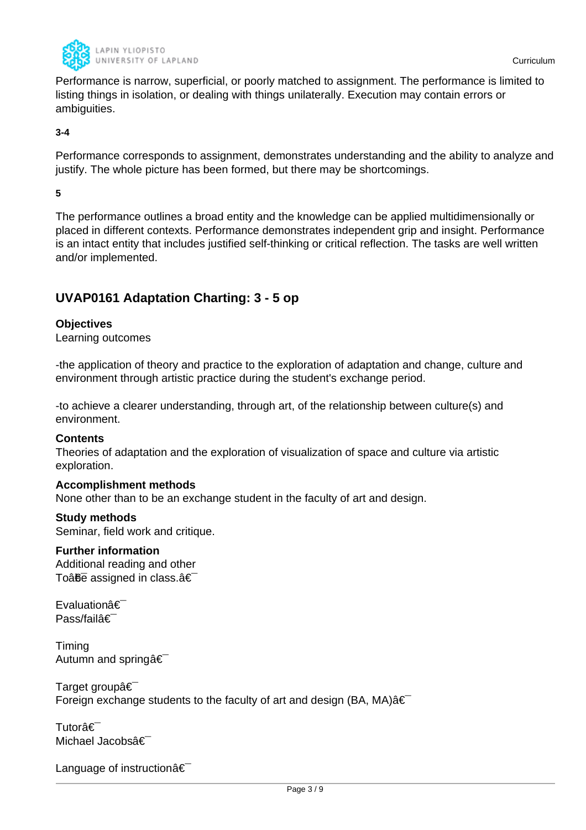

Performance is narrow, superficial, or poorly matched to assignment. The performance is limited to listing things in isolation, or dealing with things unilaterally. Execution may contain errors or ambiguities.

#### **3-4**

Performance corresponds to assignment, demonstrates understanding and the ability to analyze and justify. The whole picture has been formed, but there may be shortcomings.

#### **5**

The performance outlines a broad entity and the knowledge can be applied multidimensionally or placed in different contexts. Performance demonstrates independent grip and insight. Performance is an intact entity that includes justified self-thinking or critical reflection. The tasks are well written and/or implemented.

# **UVAP0161 Adaptation Charting: 3 - 5 op**

# **Objectives**

Learning outcomes

-the application of theory and practice to the exploration of adaptation and change, culture and environment through artistic practice during the student's exchange period.

-to achieve a clearer understanding, through art, of the relationship between culture(s) and environment.

#### **Contents**

Theories of adaptation and the exploration of visualization of space and culture via artistic exploration.

#### **Accomplishment methods**

None other than to be an exchange student in the faculty of art and design.

### **Study methods**

Seminar, field work and critique.

# **Further information**

Additional reading and other To $\hat{a}$  $\hat{b}$  assigned in class. $\hat{a} \in$ 

Evaluationâ€ Pass/failâ€

Timing Autumn and springa<sup>€</sup>

Target groupâ€ Foreign exchange students to the faculty of art and design (BA, MA) $\hat{a} \in$ 

Tutorâ€<sup>-</sup> Michael Jacobsâ€

Language of instruction  $\hat{a} \in \hat{a}$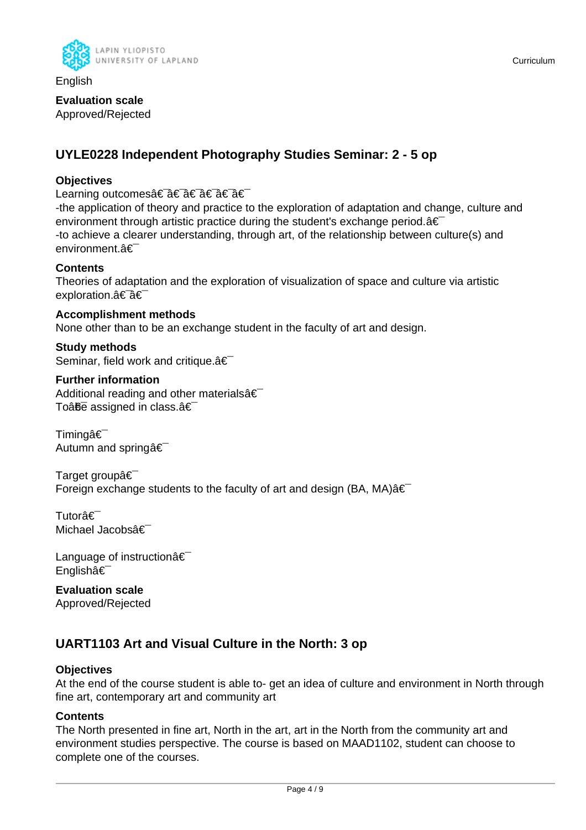

English

#### **Evaluation scale** Approved/Rejected

# **UYLE0228 Independent Photography Studies Seminar: 2 - 5 op**

# **Objectives**

Learning outcomes†â€ †â€ †â€

-the application of theory and practice to the exploration of adaptation and change, culture and environment through artistic practice during the student's exchange period. $a \in \mathbb{R}$ -to achieve a clearer understanding, through art, of the relationship between culture(s) and environment.â€

# **Contents**

Theories of adaptation and the exploration of visualization of space and culture via artistic exploration.†â€

**Accomplishment methods** None other than to be an exchange student in the faculty of art and design.

**Study methods** Seminar, field work and critique. a€

**Further information** Additional reading and other materials $\hat{\mathbf{a}} \in \mathbb{R}$ To $\hat{a}$ <del>fie</del> assigned in class. $\hat{a} \in \hat{b}$ 

Timingâ€<sup>-</sup> Autumn and springa €

Target group  $\hat{\epsilon}$ Foreign exchange students to the faculty of art and design (BA, MA) $\hat{a} \in$ 

Tutorâ€<sup>-</sup> Michael Jacobsâ€

Language of instructionâ€ Englishâ€

**Evaluation scale** Approved/Rejected

# **UART1103 Art and Visual Culture in the North: 3 op**

# **Objectives**

At the end of the course student is able to- get an idea of culture and environment in North through fine art, contemporary art and community art

# **Contents**

The North presented in fine art, North in the art, art in the North from the community art and environment studies perspective. The course is based on MAAD1102, student can choose to complete one of the courses.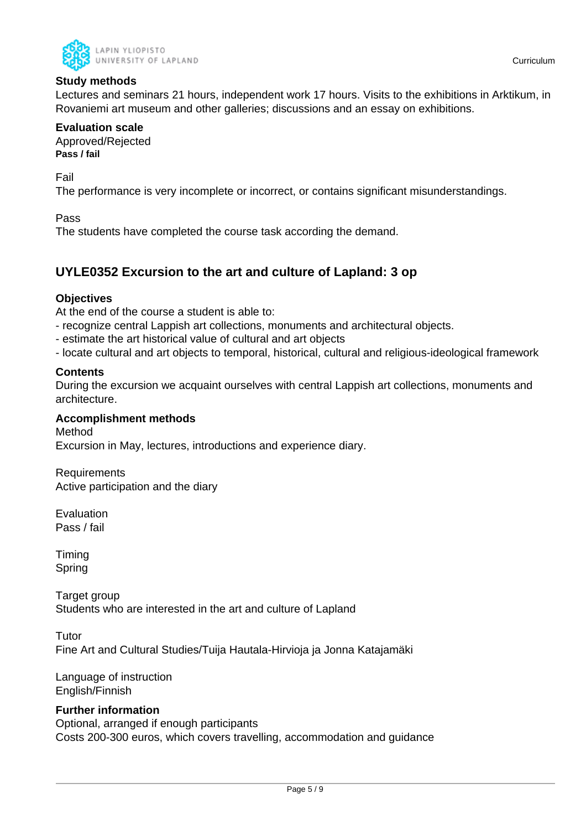

# **Study methods**

Lectures and seminars 21 hours, independent work 17 hours. Visits to the exhibitions in Arktikum, in Rovaniemi art museum and other galleries; discussions and an essay on exhibitions.

#### **Evaluation scale**

Approved/Rejected **Pass / fail**

Fail

The performance is very incomplete or incorrect, or contains significant misunderstandings.

#### Pass

The students have completed the course task according the demand.

# **UYLE0352 Excursion to the art and culture of Lapland: 3 op**

### **Objectives**

At the end of the course a student is able to:

- recognize central Lappish art collections, monuments and architectural objects.
- estimate the art historical value of cultural and art objects
- locate cultural and art objects to temporal, historical, cultural and religious-ideological framework

#### **Contents**

During the excursion we acquaint ourselves with central Lappish art collections, monuments and architecture.

#### **Accomplishment methods**

Method Excursion in May, lectures, introductions and experience diary.

Requirements Active participation and the diary

Evaluation Pass / fail

Timing Spring

Target group Students who are interested in the art and culture of Lapland

Tutor Fine Art and Cultural Studies/Tuija Hautala-Hirvioja ja Jonna Katajamäki

Language of instruction English/Finnish

# **Further information**

Optional, arranged if enough participants Costs 200-300 euros, which covers travelling, accommodation and guidance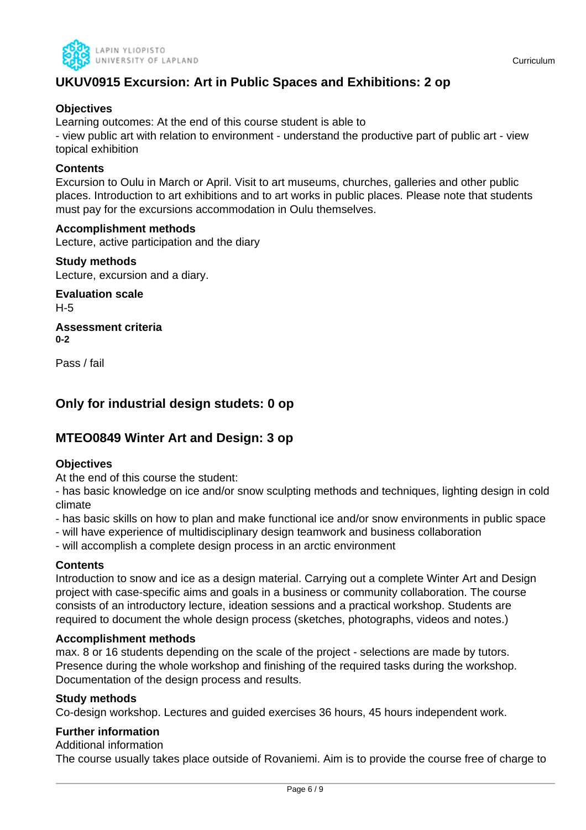

# **UKUV0915 Excursion: Art in Public Spaces and Exhibitions: 2 op**

# **Objectives**

Learning outcomes: At the end of this course student is able to

- view public art with relation to environment - understand the productive part of public art - view topical exhibition

# **Contents**

Excursion to Oulu in March or April. Visit to art museums, churches, galleries and other public places. Introduction to art exhibitions and to art works in public places. Please note that students must pay for the excursions accommodation in Oulu themselves.

#### **Accomplishment methods**

Lecture, active participation and the diary

**Study methods** Lecture, excursion and a diary.

**Evaluation scale** H-5

**Assessment criteria 0-2**

Pass / fail

# **Only for industrial design studets: 0 op**

# **MTEO0849 Winter Art and Design: 3 op**

# **Objectives**

At the end of this course the student:

- has basic knowledge on ice and/or snow sculpting methods and techniques, lighting design in cold climate

- has basic skills on how to plan and make functional ice and/or snow environments in public space
- will have experience of multidisciplinary design teamwork and business collaboration

- will accomplish a complete design process in an arctic environment

# **Contents**

Introduction to snow and ice as a design material. Carrying out a complete Winter Art and Design project with case-specific aims and goals in a business or community collaboration. The course consists of an introductory lecture, ideation sessions and a practical workshop. Students are required to document the whole design process (sketches, photographs, videos and notes.)

#### **Accomplishment methods**

max. 8 or 16 students depending on the scale of the project - selections are made by tutors. Presence during the whole workshop and finishing of the required tasks during the workshop. Documentation of the design process and results.

# **Study methods**

Co-design workshop. Lectures and guided exercises 36 hours, 45 hours independent work.

# **Further information**

Additional information

The course usually takes place outside of Rovaniemi. Aim is to provide the course free of charge to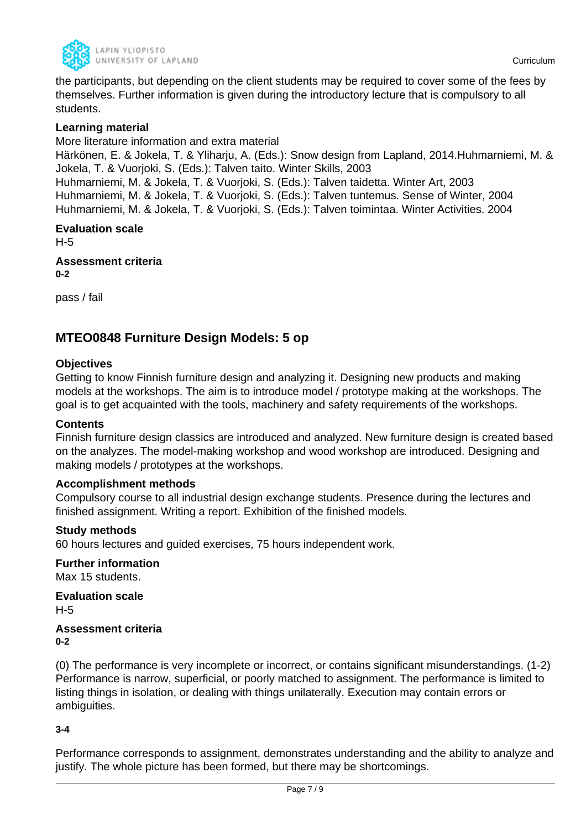

the participants, but depending on the client students may be required to cover some of the fees by themselves. Further information is given during the introductory lecture that is compulsory to all students.

# **Learning material**

More literature information and extra material Härkönen, E. & Jokela, T. & Yliharju, A. (Eds.): Snow design from Lapland, 2014.Huhmarniemi, M. & Jokela, T. & Vuorjoki, S. (Eds.): Talven taito. Winter Skills, 2003 Huhmarniemi, M. & Jokela, T. & Vuorjoki, S. (Eds.): Talven taidetta. Winter Art, 2003 Huhmarniemi, M. & Jokela, T. & Vuorjoki, S. (Eds.): Talven tuntemus. Sense of Winter, 2004 Huhmarniemi, M. & Jokela, T. & Vuorjoki, S. (Eds.): Talven toimintaa. Winter Activities. 2004

**Evaluation scale** H-5 **Assessment criteria**

**0-2**

pass / fail

# **MTEO0848 Furniture Design Models: 5 op**

#### **Objectives**

Getting to know Finnish furniture design and analyzing it. Designing new products and making models at the workshops. The aim is to introduce model / prototype making at the workshops. The goal is to get acquainted with the tools, machinery and safety requirements of the workshops.

#### **Contents**

Finnish furniture design classics are introduced and analyzed. New furniture design is created based on the analyzes. The model-making workshop and wood workshop are introduced. Designing and making models / prototypes at the workshops.

#### **Accomplishment methods**

Compulsory course to all industrial design exchange students. Presence during the lectures and finished assignment. Writing a report. Exhibition of the finished models.

#### **Study methods**

60 hours lectures and guided exercises, 75 hours independent work.

**Further information** Max 15 students.

**Evaluation scale** H-5

**Assessment criteria 0-2**

(0) The performance is very incomplete or incorrect, or contains significant misunderstandings. (1-2) Performance is narrow, superficial, or poorly matched to assignment. The performance is limited to listing things in isolation, or dealing with things unilaterally. Execution may contain errors or ambiguities.

**3-4**

Performance corresponds to assignment, demonstrates understanding and the ability to analyze and justify. The whole picture has been formed, but there may be shortcomings.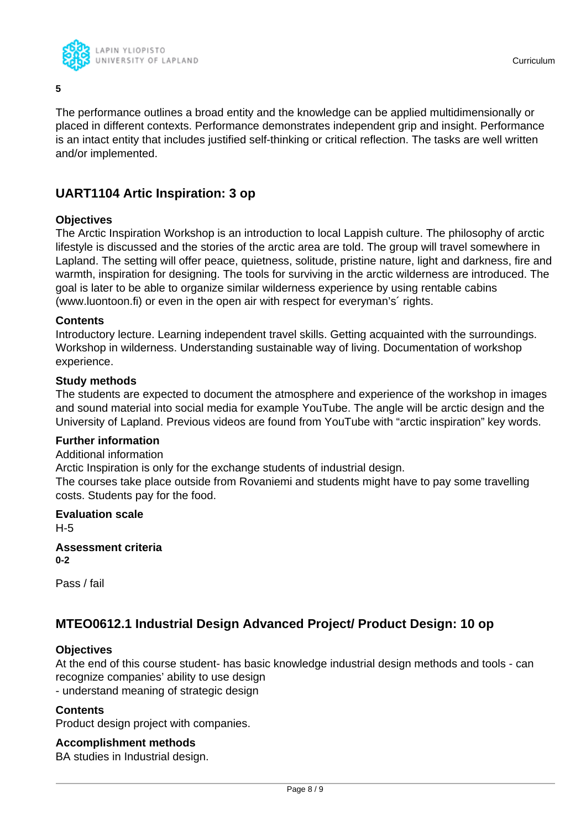

**5**

The performance outlines a broad entity and the knowledge can be applied multidimensionally or placed in different contexts. Performance demonstrates independent grip and insight. Performance is an intact entity that includes justified self-thinking or critical reflection. The tasks are well written and/or implemented.

# **UART1104 Artic Inspiration: 3 op**

# **Objectives**

The Arctic Inspiration Workshop is an introduction to local Lappish culture. The philosophy of arctic lifestyle is discussed and the stories of the arctic area are told. The group will travel somewhere in Lapland. The setting will offer peace, quietness, solitude, pristine nature, light and darkness, fire and warmth, inspiration for designing. The tools for surviving in the arctic wilderness are introduced. The goal is later to be able to organize similar wilderness experience by using rentable cabins (www.luontoon.fi) or even in the open air with respect for everyman's´ rights.

#### **Contents**

Introductory lecture. Learning independent travel skills. Getting acquainted with the surroundings. Workshop in wilderness. Understanding sustainable way of living. Documentation of workshop experience.

#### **Study methods**

The students are expected to document the atmosphere and experience of the workshop in images and sound material into social media for example YouTube. The angle will be arctic design and the University of Lapland. Previous videos are found from YouTube with "arctic inspiration" key words.

# **Further information**

Additional information

Arctic Inspiration is only for the exchange students of industrial design.

The courses take place outside from Rovaniemi and students might have to pay some travelling costs. Students pay for the food.

# **Evaluation scale** H-5 **Assessment criteria**

**0-2**

Pass / fail

# **MTEO0612.1 Industrial Design Advanced Project/ Product Design: 10 op**

# **Objectives**

At the end of this course student- has basic knowledge industrial design methods and tools - can recognize companies' ability to use design

- understand meaning of strategic design

# **Contents**

Product design project with companies.

# **Accomplishment methods**

BA studies in Industrial design.